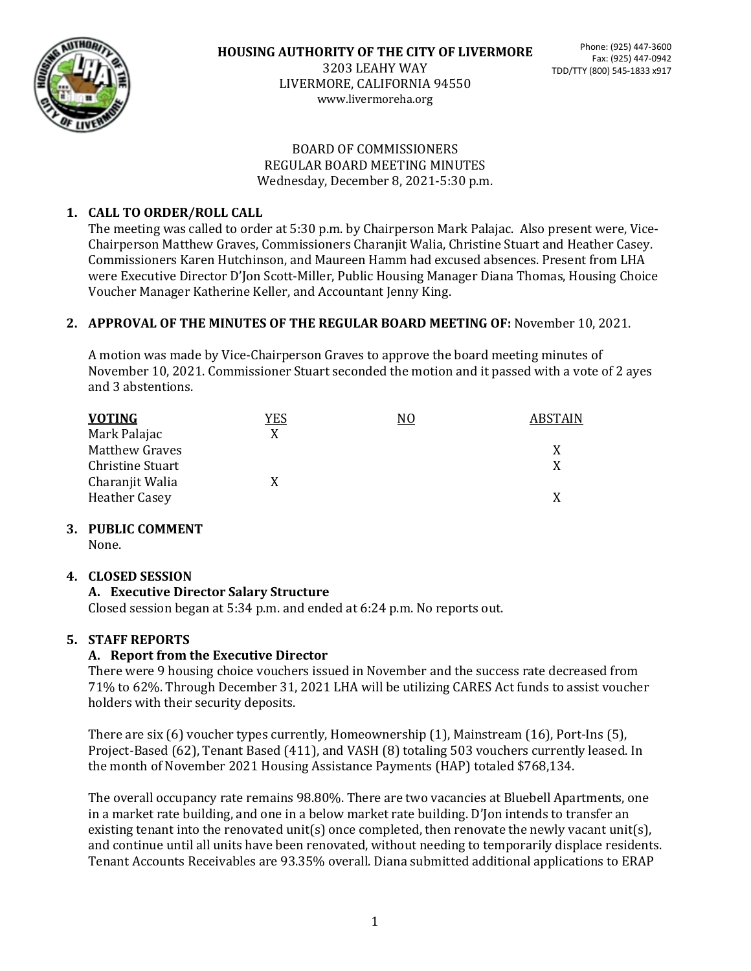

www.livermoreha.org

#### BOARD OF COMMISSIONERS REGULAR BOARD MEETING MINUTES Wednesday, December 8, 2021-5:30 p.m.

# **1. CALL TO ORDER/ROLL CALL**

The meeting was called to order at 5:30 p.m. by Chairperson Mark Palajac. Also present were, Vice-Chairperson Matthew Graves, Commissioners Charanjit Walia, Christine Stuart and Heather Casey. Commissioners Karen Hutchinson, and Maureen Hamm had excused absences. Present from LHA were Executive Director D'Jon Scott-Miller, Public Housing Manager Diana Thomas, Housing Choice Voucher Manager Katherine Keller, and Accountant Jenny King.

## **2. APPROVAL OF THE MINUTES OF THE REGULAR BOARD MEETING OF:** November 10, 2021.

A motion was made by Vice-Chairperson Graves to approve the board meeting minutes of November 10, 2021. Commissioner Stuart seconded the motion and it passed with a vote of 2 ayes and 3 abstentions.

| <b>VOTING</b>           | YES | NO | <b>ABSTAIN</b> |
|-------------------------|-----|----|----------------|
| Mark Palajac            | X   |    |                |
| <b>Matthew Graves</b>   |     |    | X              |
| <b>Christine Stuart</b> |     |    | X              |
| Charanjit Walia         |     |    |                |
| <b>Heather Casey</b>    |     |    | X              |

## **3. PUBLIC COMMENT**

None.

## **4. CLOSED SESSION**

## **A. Executive Director Salary Structure**

Closed session began at 5:34 p.m. and ended at 6:24 p.m. No reports out.

## **5. STAFF REPORTS**

## **A. Report from the Executive Director**

There were 9 housing choice vouchers issued in November and the success rate decreased from 71% to 62%. Through December 31, 2021 LHA will be utilizing CARES Act funds to assist voucher holders with their security deposits.

There are six (6) voucher types currently, Homeownership (1), Mainstream (16), Port-Ins (5), Project-Based (62), Tenant Based (411), and VASH (8) totaling 503 vouchers currently leased. In the month of November 2021 Housing Assistance Payments (HAP) totaled \$768,134.

The overall occupancy rate remains 98.80%. There are two vacancies at Bluebell Apartments, one in a market rate building, and one in a below market rate building. D'Jon intends to transfer an existing tenant into the renovated unit(s) once completed, then renovate the newly vacant unit(s), and continue until all units have been renovated, without needing to temporarily displace residents. Tenant Accounts Receivables are 93.35% overall. Diana submitted additional applications to ERAP